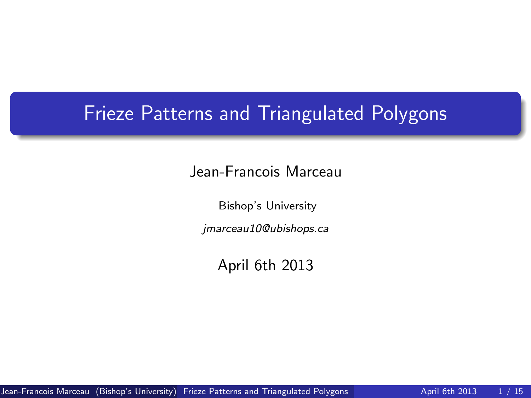## Frieze Patterns and Triangulated Polygons

#### Jean-Francois Marceau

Bishop's University

jmarceau10@ubishops.ca

<span id="page-0-0"></span>April 6th 2013

Jean-Francois Marceau (Bishop's University) [Frieze Patterns and Triangulated Polygons](#page-14-0) April 6th 2013 1/15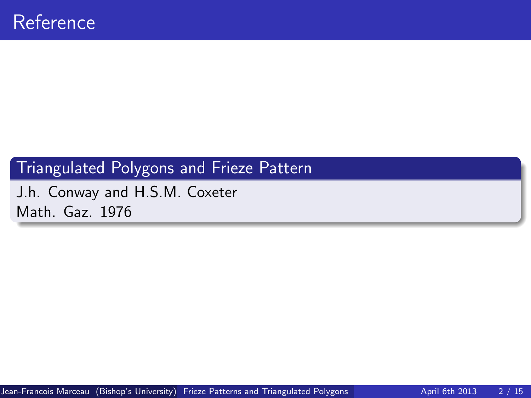### Triangulated Polygons and Frieze Pattern

J.h. Conway and H.S.M. Coxeter Math. Gaz. 1976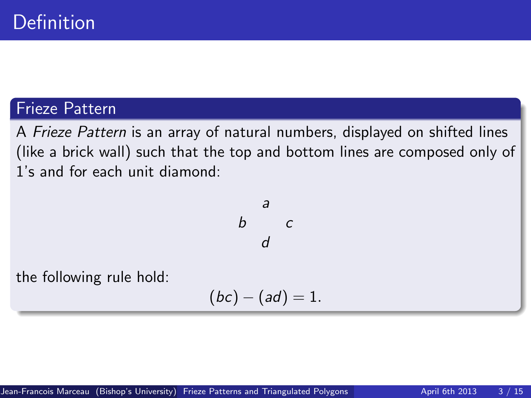### Frieze Pattern

A Frieze Pattern is an array of natural numbers, displayed on shifted lines (like a brick wall) such that the top and bottom lines are composed only of 1's and for each unit diamond:

$$
\begin{array}{ccc}\n & a \\
b & c \\
d & \n\end{array}
$$

the following rule hold:

$$
(bc)-(ad)=1.
$$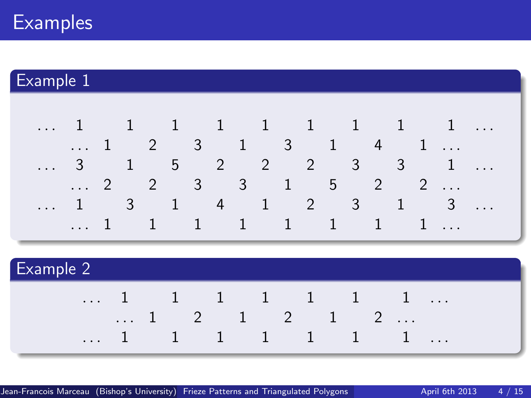# **Examples**

## Example 1



| <b>Example 2</b> |          |  |  |   |         |  |         |      |           |  |  |  |                         |          |
|------------------|----------|--|--|---|---------|--|---------|------|-----------|--|--|--|-------------------------|----------|
| $\cdot$          |          |  |  |   |         |  |         |      | 1 1 1 1 1 |  |  |  |                         | $\cdot$  |
|                  | $\cdots$ |  |  | 2 |         |  |         | $-2$ |           |  |  |  | $\cdot$ $\cdot$ $\cdot$ |          |
| $\cdots$         |          |  |  |   | $\perp$ |  | $\perp$ |      |           |  |  |  |                         | $\cdots$ |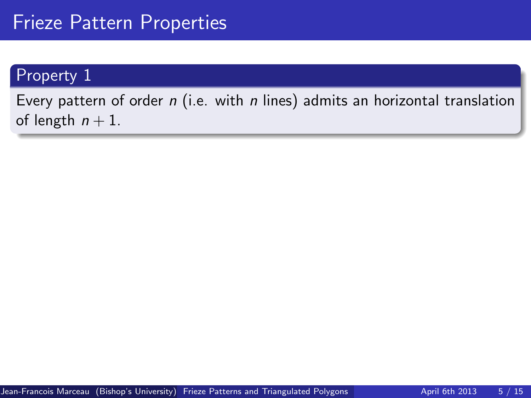### Property 1

Every pattern of order  $n$  (i.e. with  $n$  lines) admits an horizontal translation of length  $n + 1$ .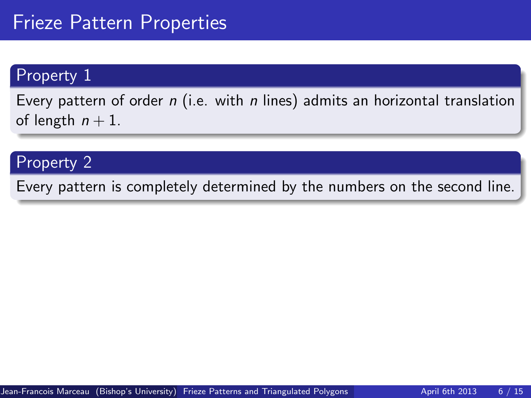#### Property 1

Every pattern of order  $n$  (i.e. with  $n$  lines) admits an horizontal translation of length  $n + 1$ .

### Property 2

Every pattern is completely determined by the numbers on the second line.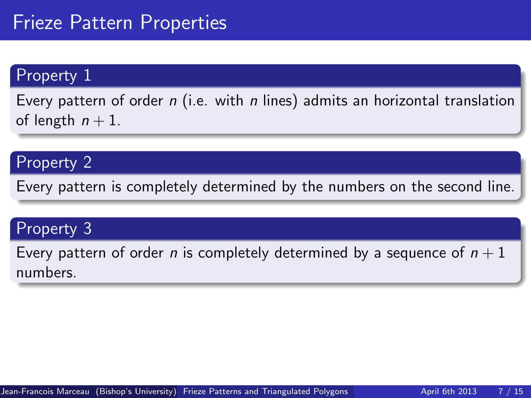#### Property 1

Every pattern of order  $n$  (i.e. with  $n$  lines) admits an horizontal translation of length  $n + 1$ .

### Property 2

Every pattern is completely determined by the numbers on the second line.

## Property 3

Every pattern of order n is completely determined by a sequence of  $n+1$ numbers.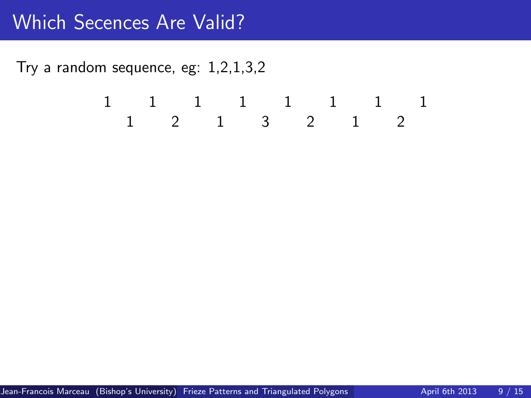$$
\begin{array}{ccccccccc}1 & & 1 & & 1 & & 1 & & 1 & & 1 & & 1\\ & & 1 & & 2 & & 1 & & 3 & & 2 & & 1 & & 2 \end{array}
$$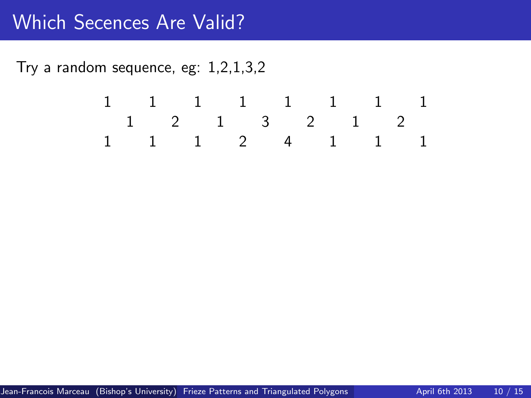$$
\begin{array}{ccccccccc}1 & & 1 & & 1 & & 1 & & 1 & & 1 & & 1\\ &1 & & 2 & & 1 & & 3 & & 2 & & 1 & & 2\\ 1 & & 1 & & 1 & & 2 & & 4 & & 1 & & 1 & & 1\end{array}
$$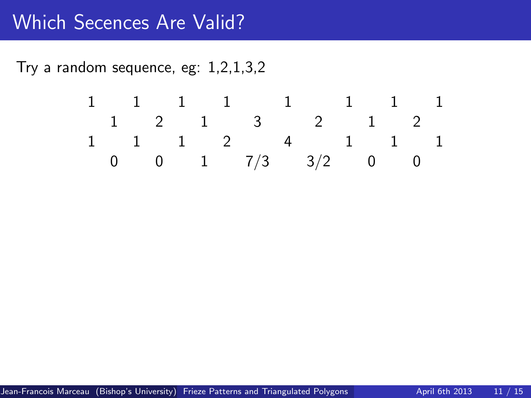$$
\begin{array}{ccccccccc}\n1 & 1 & 1 & 1 & 1 & 1 & 1 & 1 \\
1 & 2 & 1 & 3 & 2 & 1 & 2 \\
1 & 1 & 1 & 2 & 4 & 1 & 1 & 1 \\
0 & 0 & 1 & 7/3 & 3/2 & 0 & 0\n\end{array}
$$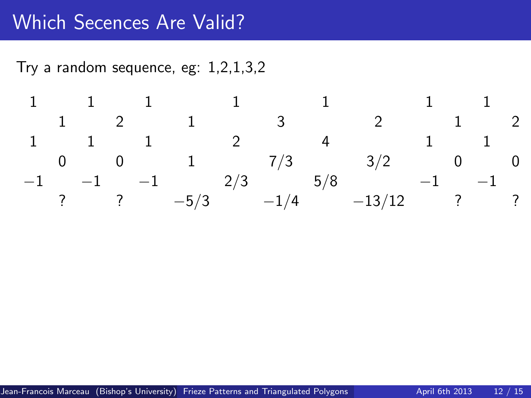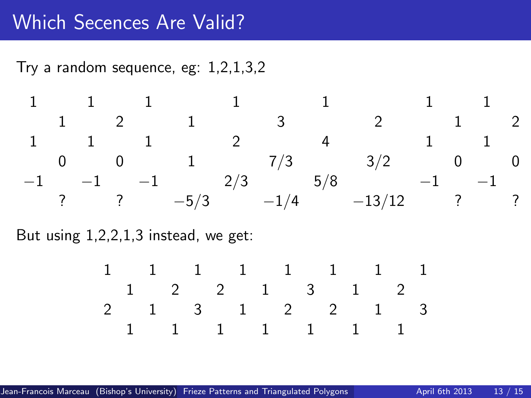Try a random sequence, eg: 1,2,1,3,2

$$
\begin{array}{ccccccccccccc}1 & & 1 & & 1 & & 1 & & 1 & & 1 & & 1\\ & & 1 & & 2 & & 1 & & 3 & & 2 & & 1 & & 2\\ 1 & & 1 & & 1 & & 2 & & 4 & & 1 & & 1\\ 0 & & 0 & & 1 & & 7/3 & & 3/2 & & 0 & & 0\\ -1 & & -1 & & -1 & & 2/3 & & 5/8 & & -1 & & -1\\ & & ? & & ? & & -5/3 & & -1/4 & & -13/12 & & ? & ?\end{array}
$$

But using 1,2,2,1,3 instead, we get:

$$
\begin{array}{cccccccccc}1&1&1&1&1&1&1&1&1\\1&2&2&1&3&1&2\\2&1&3&1&2&2&1&3\\1&1&1&1&1&1&1&1\end{array}
$$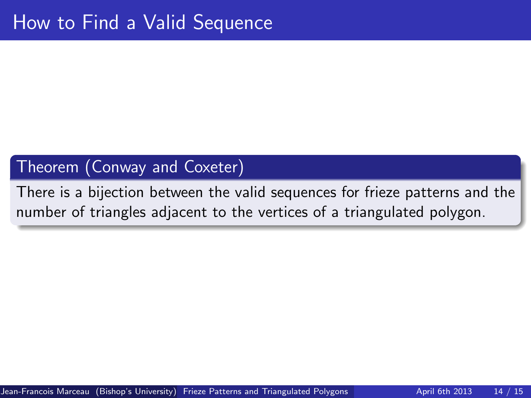#### Theorem (Conway and Coxeter)

There is a bijection between the valid sequences for frieze patterns and the number of triangles adjacent to the vertices of a triangulated polygon.